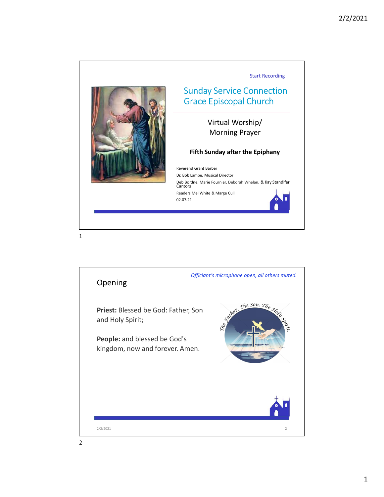

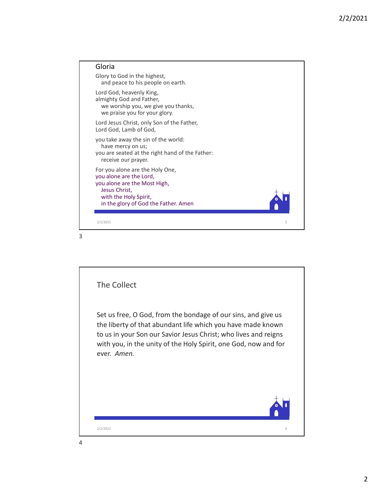



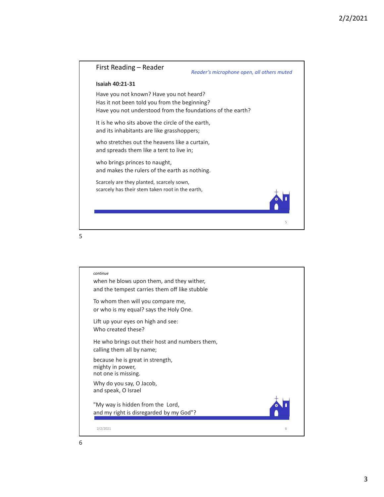

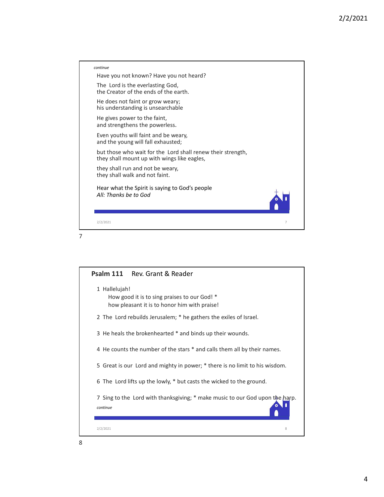|   |                                                                                                            | 2/2/2021 |
|---|------------------------------------------------------------------------------------------------------------|----------|
|   |                                                                                                            |          |
|   |                                                                                                            |          |
|   | continue<br>Have you not known? Have you not heard?                                                        |          |
|   | The Lord is the everlasting God,<br>the Creator of the ends of the earth.                                  |          |
|   | He does not faint or grow weary;                                                                           |          |
|   | his understanding is unsearchable<br>He gives power to the faint,                                          |          |
|   | and strengthens the powerless.                                                                             |          |
|   | Even youths will faint and be weary,<br>and the young will fall exhausted;                                 |          |
|   | but those who wait for the Lord shall renew their strength,<br>they shall mount up with wings like eagles, |          |
|   | they shall run and not be weary,<br>they shall walk and not faint.                                         |          |
|   | Hear what the Spirit is saying to God's people<br>All: Thanks be to God                                    |          |
|   |                                                                                                            |          |
|   | 2/2/2021<br>$\overline{7}$                                                                                 |          |
| 7 |                                                                                                            |          |
|   |                                                                                                            |          |
|   |                                                                                                            |          |
|   | Rev. Grant & Reader<br><b>Psalm 111</b>                                                                    |          |
|   | 1 Hallelujah!<br>How good it is to sing praises to our God! *                                              |          |
|   | how pleasant it is to honor him with praise!                                                               |          |
|   | 2 The Lord rebuilds Jerusalem; * he gathers the exiles of Israel.                                          |          |
|   | 3 He heals the brokenhearted * and binds up their wounds.                                                  |          |





8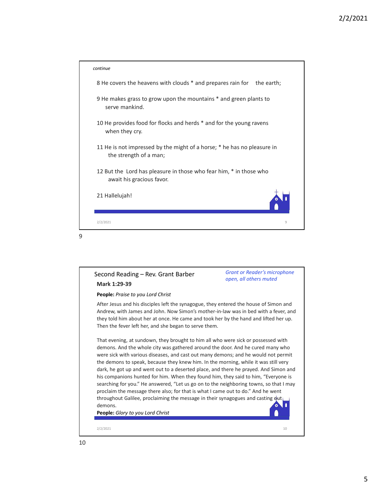|   |                                                                                                                                                                                                                                                                      |                                                               | 2/2/2021 |
|---|----------------------------------------------------------------------------------------------------------------------------------------------------------------------------------------------------------------------------------------------------------------------|---------------------------------------------------------------|----------|
|   |                                                                                                                                                                                                                                                                      |                                                               |          |
|   |                                                                                                                                                                                                                                                                      |                                                               |          |
|   |                                                                                                                                                                                                                                                                      |                                                               |          |
|   | continue                                                                                                                                                                                                                                                             |                                                               |          |
|   | 8 He covers the heavens with clouds * and prepares rain for the earth;                                                                                                                                                                                               |                                                               |          |
|   | 9 He makes grass to grow upon the mountains * and green plants to<br>serve mankind.                                                                                                                                                                                  |                                                               |          |
|   | 10 He provides food for flocks and herds * and for the young ravens<br>when they cry.                                                                                                                                                                                |                                                               |          |
|   | 11 He is not impressed by the might of a horse; * he has no pleasure in<br>the strength of a man;                                                                                                                                                                    |                                                               |          |
|   | 12 But the Lord has pleasure in those who fear him, * in those who<br>await his gracious favor.                                                                                                                                                                      |                                                               |          |
|   | 21 Hallelujah!                                                                                                                                                                                                                                                       |                                                               |          |
|   | 2/2/2021                                                                                                                                                                                                                                                             | $\overline{9}$                                                |          |
| 9 |                                                                                                                                                                                                                                                                      |                                                               |          |
|   |                                                                                                                                                                                                                                                                      |                                                               |          |
|   |                                                                                                                                                                                                                                                                      |                                                               |          |
|   | Second Reading - Rev. Grant Barber<br>Mark 1:29-39                                                                                                                                                                                                                   | <b>Grant or Reader's microphone</b><br>open, all others muted |          |
|   | People: Praise to you Lord Christ                                                                                                                                                                                                                                    |                                                               |          |
|   | After Jesus and his disciples left the synagogue, they entered the house of Simon and<br>Andrew, with James and John. Now Simon's mother-in-law was in bed with a fever, and<br>they told him about her at once. He came and took her by the hand and lifted her up. |                                                               |          |

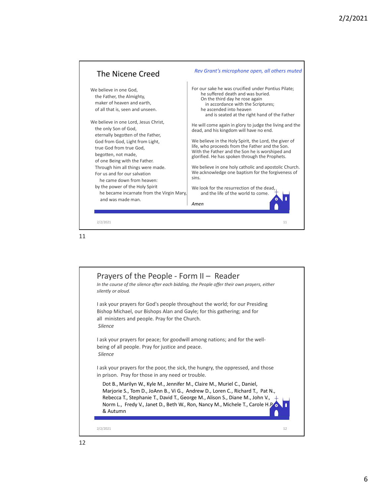



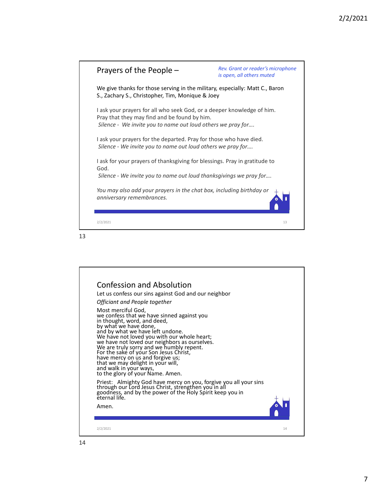| Prayers of the People -                                                                                                                                                               | Rev. Grant or reader's microphone | 2/2/2021 |
|---------------------------------------------------------------------------------------------------------------------------------------------------------------------------------------|-----------------------------------|----------|
|                                                                                                                                                                                       |                                   |          |
|                                                                                                                                                                                       |                                   |          |
|                                                                                                                                                                                       | is open, all others muted         |          |
| We give thanks for those serving in the military, especially: Matt C., Baron<br>S., Zachary S., Christopher, Tim, Monique & Joey                                                      |                                   |          |
| I ask your prayers for all who seek God, or a deeper knowledge of him.<br>Pray that they may find and be found by him.<br>Silence - We invite you to name out loud others we pray for |                                   |          |
| I ask your prayers for the departed. Pray for those who have died.<br>Silence - We invite you to name out loud others we pray for                                                     |                                   |          |
| I ask for your prayers of thanksgiving for blessings. Pray in gratitude to<br>God.<br>Silence - We invite you to name out loud thanksgivings we pray for                              |                                   |          |
| You may also add your prayers in the chat box, including birthday or<br>anniversary remembrances.                                                                                     |                                   |          |
| 2/2/2021                                                                                                                                                                              | 13                                |          |